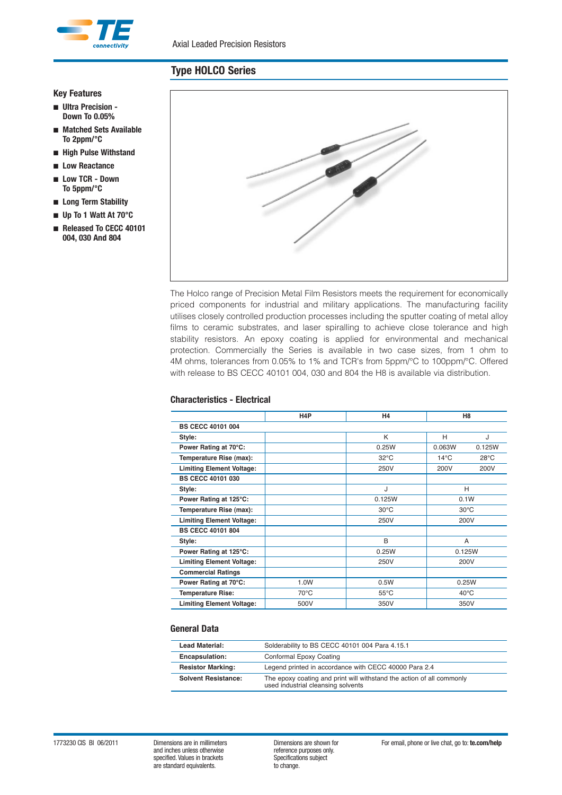

#### **Key Features**

- **Ultra Precision - Down To 0.05%**
- **Matched Sets Available To 2ppm/°C**
- **High Pulse Withstand**
- **Low Reactance**
- **Low TCR Down To 5ppm/°C**
- **Long Term Stability**
- **Up To 1 Watt At 70°C**
- **Released To CECC 40101 004, 030 And 804**



The Holco range of Precision Metal Film Resistors meets the requirement for economically priced components for industrial and military applications. The manufacturing facility utilises closely controlled production processes including the sputter coating of metal alloy films to ceramic substrates, and laser spiralling to achieve close tolerance and high stability resistors. An epoxy coating is applied for environmental and mechanical protection. Commercially the Series is available in two case sizes, from 1 ohm to 4M ohms, tolerances from 0.05% to 1% and TCR's from 5ppm/°C to 100ppm/°C. Offered with release to BS CECC 40101 004, 030 and 804 the H8 is available via distribution.

|                                  | H <sub>4</sub> P | H4             | H <sub>8</sub>                   |  |  |  |  |
|----------------------------------|------------------|----------------|----------------------------------|--|--|--|--|
| <b>BS CECC 40101 004</b>         |                  |                |                                  |  |  |  |  |
| Style:                           |                  | Κ              | н<br>J                           |  |  |  |  |
| Power Rating at 70°C:            |                  | 0.25W          | 0.063W<br>0.125W                 |  |  |  |  |
| Temperature Rise (max):          |                  | $32^{\circ}$ C | $14^{\circ}$ C<br>$28^{\circ}$ C |  |  |  |  |
| <b>Limiting Element Voltage:</b> |                  | 250V           | 200V<br>200V                     |  |  |  |  |
| <b>BS CECC 40101 030</b>         |                  |                |                                  |  |  |  |  |
| Style:                           |                  | J              | н                                |  |  |  |  |
| Power Rating at 125°C:           |                  | 0.125W         | 0.1W                             |  |  |  |  |
| Temperature Rise (max):          |                  | $30^{\circ}$ C | $30^{\circ}$ C                   |  |  |  |  |
| <b>Limiting Element Voltage:</b> |                  | 250V           | 200V                             |  |  |  |  |
| <b>BS CECC 40101 804</b>         |                  |                |                                  |  |  |  |  |
| Style:                           |                  | B              | A                                |  |  |  |  |
| Power Rating at 125°C:           |                  | 0.25W          | 0.125W                           |  |  |  |  |
| <b>Limiting Element Voltage:</b> |                  | 250V           | 200V                             |  |  |  |  |
| <b>Commercial Ratings</b>        |                  |                |                                  |  |  |  |  |
| Power Rating at 70°C:            | 1.0W             | 0.5W           | 0.25W                            |  |  |  |  |
| <b>Temperature Rise:</b>         | $70^{\circ}$ C   | $55^{\circ}$ C | $40^{\circ}$ C                   |  |  |  |  |
| <b>Limiting Element Voltage:</b> | 500V             | 350V           | 350V                             |  |  |  |  |

### **General Data**

| Lead Material:             | Solderability to BS CECC 40101 004 Para 4.15.1                                                              |
|----------------------------|-------------------------------------------------------------------------------------------------------------|
| Encapsulation:             | Conformal Epoxy Coating                                                                                     |
| <b>Resistor Marking:</b>   | Legend printed in accordance with CECC 40000 Para 2.4                                                       |
| <b>Solvent Resistance:</b> | The epoxy coating and print will withstand the action of all commonly<br>used industrial cleansing solvents |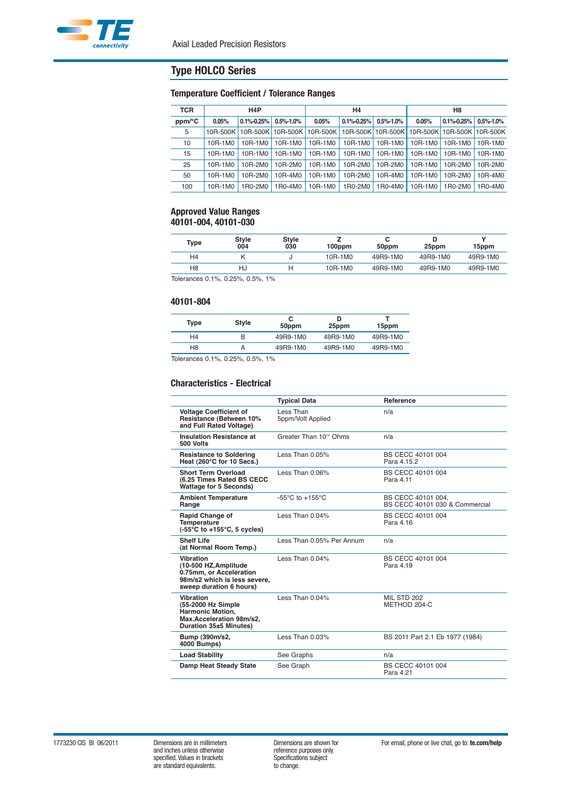### **Temperature Coefficient / Tolerance Ranges**

| <b>TCR</b> | H <sub>4</sub> P |                  | Η4              |         |                                                                                                  | H8              |         |                  |                 |
|------------|------------------|------------------|-----------------|---------|--------------------------------------------------------------------------------------------------|-----------------|---------|------------------|-----------------|
| ppm/°C     | 0.05%            | $0.1\% - 0.25\%$ | $0.5\% - 1.0\%$ | 0.05%   | $0.1\% - 0.25\%$                                                                                 | $0.5\% - 1.0\%$ | 0.05%   | $0.1\% - 0.25\%$ | $0.5\% - 1.0\%$ |
| 5          |                  |                  |                 |         | 10R-500K   10R-500K   10R-500K   10R-500K   10R-500K   10R-500K   10R-500K   10R-500K   10R-500K |                 |         |                  |                 |
| 10         | 10R-1M0          | 10R-1M0          | 10R-1M0         | 10R-1M0 | 10R-1M0                                                                                          | 10R-1M0         | 10R-1M0 | 10R-1M0          | 10R-1M0         |
| 15         | 10R-1M0          | 10R-1M0          | 10R-1M0         | 10R-1M0 | 10R-1M0                                                                                          | 10R-1M0         | 10R-1M0 | 10R-1M0          | 10R-1M0         |
| 25         | 10R-1M0          | 10R-2M0          | 10R-2M0         | 10R-1M0 | 10R-2M0                                                                                          | 10R-2M0         | 10R-1M0 | 10R-2M0          | 10R-2M0         |
| 50         | 10R-1M0          | 10R-2M0          | 10R-4M0         | 10R-1M0 | 10R-2M0                                                                                          | 10R-4M0         | 10R-1M0 | 10R-2M0          | 10R-4M0         |
| 100        | 10R-1M0          | 1R0-2M0          | 1R0-4M0         | 10R-1M0 | 1 R <sub>0</sub> -2 M <sub>0</sub>                                                               | 1R0-4M0         | 10R-1M0 | 1R0-2M0          | 1R0-4M0         |

#### **Approved Value Ranges 40101-004, 40101-030**

| Type           | <b>Style</b><br>004           | Style<br>030 | 100ppm  | 50ppm    | 25ppm    | 15ppm    |
|----------------|-------------------------------|--------------|---------|----------|----------|----------|
| H <sub>4</sub> |                               |              | 10R-1M0 | 49R9-1M0 | 49R9-1M0 | 49R9-1M0 |
| H <sub>8</sub> | Hu                            |              | 10R-1M0 | 49R9-1M0 | 49R9-1M0 | 49R9-1M0 |
|                | Tolerances 0.1% 0.25% 0.5% 1% |              |         |          |          |          |

Tolerances 0.1%, 0.25%, 0.5%, 1%

#### **40101-804**

| Type           | Style | 50ppm    | D<br>25ppm | 15ppm    |
|----------------|-------|----------|------------|----------|
| H4             |       | 49R9-1M0 | 49R9-1M0   | 49R9-1M0 |
| H8             |       | 49R9-1M0 | 49R9-1M0   | 49R9-1M0 |
| _ _<br>_ _ _ _ |       | .        |            |          |

Tolerances 0.1%, 0.25%, 0.5%, 1%

### **Characteristics - Electrical**

|                                                                                                                          | <b>Typical Data</b>                 | Reference                                            |
|--------------------------------------------------------------------------------------------------------------------------|-------------------------------------|------------------------------------------------------|
| <b>Voltage Coefficient of</b><br>Resistance (Between 10%<br>and Full Rated Voltage)                                      | Less Than<br>5ppm/Volt Applied      | n/a                                                  |
| <b>Insulation Resistance at</b><br>500 Volts                                                                             | Greater Than 10 <sup>12</sup> Ohms  | n/a                                                  |
| <b>Resistance to Soldering</b><br>Heat (260°C for 10 Secs.)                                                              | Less Than 0.05%                     | BS CECC 40101 004<br>Para 4 15 2                     |
| <b>Short Term Overload</b><br>(6.25 Times Rated BS CECC<br><b>Wattage for 5 Seconds)</b>                                 | Less Than $0.06\%$                  | BS CECC 40101 004<br>Para 4.11                       |
| <b>Ambient Temperature</b><br>Range                                                                                      | -55 $\degree$ C to +155 $\degree$ C | BS CECC 40101 004,<br>BS CECC 40101 030 & Commercial |
| <b>Rapid Change of</b><br><b>Temperature</b><br>$(-55^{\circ}$ C to $+155^{\circ}$ C, 5 cycles)                          | Less Than 0.04%                     | BS CECC 40101 004<br>Para 4 16                       |
| <b>Shelf Life</b><br>(at Normal Room Temp.)                                                                              | Less Than 0.05% Per Annum           | n/a                                                  |
| Vibration<br>(10-500 HZ, Amplitude<br>0.75mm. or Acceleration<br>98m/s2 which is less severe,<br>sweep duration 6 hours) | Less Than 0.04%                     | BS CECC 40101 004<br>Para 4.19                       |
| Vibration<br>(55-2000 Hz Simple<br>Harmonic Motion,<br>Max.Acceleration 98m/s2,<br>Duration 35±5 Minutes)                | Less Than 0.04%                     | <b>MIL STD 202</b><br>METHOD 204-C                   |
| Bump (390m/s2,<br>4000 Bumps)                                                                                            | Less Than $0.03\%$                  | BS 2011 Part 2.1 Eb 1977 (1984)                      |
| <b>Load Stability</b>                                                                                                    | See Graphs                          | n/a                                                  |
| <b>Damp Heat Steady State</b>                                                                                            | See Graph                           | BS CECC 40101 004<br>Para 4.21                       |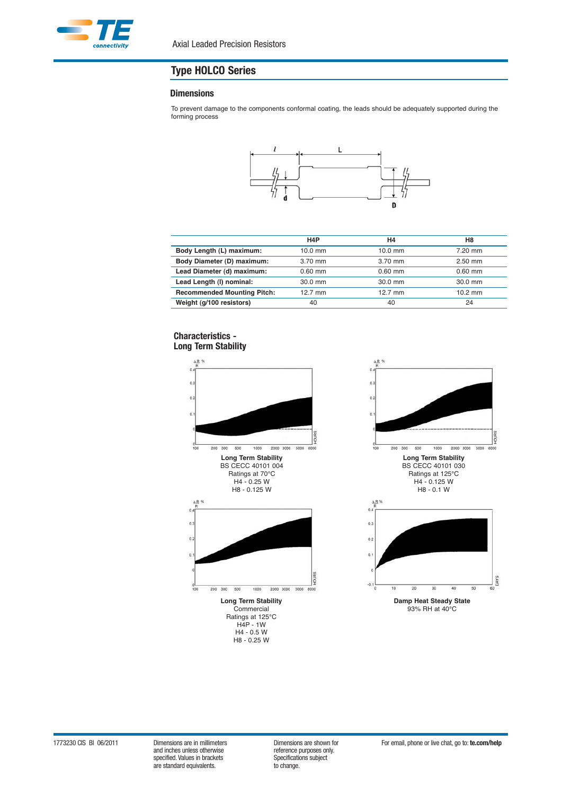

#### **Dimensions**

To prevent damage to the components conformal coating, the leads should be adequately supported during the forming process



|                                    | H <sub>4</sub> P | H4        | H8        |
|------------------------------------|------------------|-----------|-----------|
| Body Length (L) maximum:           | $10.0$ mm        | $10.0$ mm | 7.20 mm   |
| Body Diameter (D) maximum:         | 3.70 mm          | 3.70 mm   | $2.50$ mm |
| Lead Diameter (d) maximum:         | $0.60$ mm        | $0.60$ mm | $0.60$ mm |
| Lead Length (I) nominal:           | 30.0 mm          | 30.0 mm   | 30.0 mm   |
| <b>Recommended Mounting Pitch:</b> | $12.7$ mm        | 12.7 mm   | $10.2$ mm |
| Weight (g/100 resistors)           | 40               | 40        | 24        |

### **Characteristics - Long Term Stability**



Ratings at 125°C H4P - 1W H4 - 0.5 W H8 - 0.25 W



specified. Values in brackets Specifications Specifications subsections of the subject of the Specification of the standard equivalents. are standard equivalents.

efference purposes only.<br>Specifications subject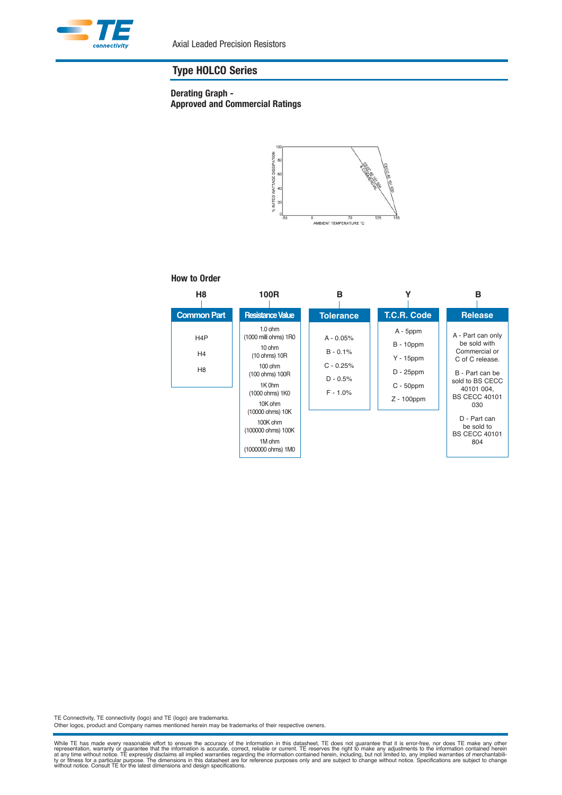

### **Derating Graph - Approved and Commercial Ratings**



#### **How to Order**

| H <sub>8</sub>                                       | 100R                                                                                                                                                                                                                                    | в                                                                    |                                                                                              | в                                                                                                                                                                                                                     |
|------------------------------------------------------|-----------------------------------------------------------------------------------------------------------------------------------------------------------------------------------------------------------------------------------------|----------------------------------------------------------------------|----------------------------------------------------------------------------------------------|-----------------------------------------------------------------------------------------------------------------------------------------------------------------------------------------------------------------------|
| <b>Common Part</b>                                   | <b>Resistance Value</b>                                                                                                                                                                                                                 | <b>Tolerance</b>                                                     | T.C.R. Code                                                                                  | <b>Release</b>                                                                                                                                                                                                        |
| H <sub>4</sub> P<br>H <sub>4</sub><br>H <sub>8</sub> | $1.0$ ohm<br>(1000 milli ohms) 1R0<br>$10 \, \text{ohm}$<br>(10 ohms) 10R<br>$100$ ohm<br>(100 ohms) 100R<br>1K 0hm<br>(1000 ohms) 1K0<br>10K ohm<br>(10000 ohms) 10K<br>100K ohm<br>(100000 ohms) 100K<br>1M ohm<br>(1000000 ohms) 1M0 | $A - 0.05%$<br>$B - 0.1%$<br>$C - 0.25%$<br>$D - 0.5%$<br>$F - 1.0%$ | $A - 5$ ppm<br>$B - 10$ ppm<br>$Y - 15$ ppm<br>$D - 25$ ppm<br>$C - 50$ ppm<br>$Z - 100$ ppm | A - Part can only<br>be sold with<br>Commercial or<br>C of C release.<br>B - Part can be<br>sold to BS CECC<br>40101 004,<br><b>BS CECC 40101</b><br>030<br>D - Part can<br>be sold to<br><b>BS CECC 40101</b><br>804 |

TE Connectivity, TE connectivity (logo) and TE (logo) are trademarks.

Other logos, product and Company names mentioned herein may be trademarks of their respective owners.

While TE has made every reasonable effort to ensure the accuracy of the information in this datasheet, TE does not guarantee that it is error-free, nor does TE make any the entimation, warranty or guarantee that the inform